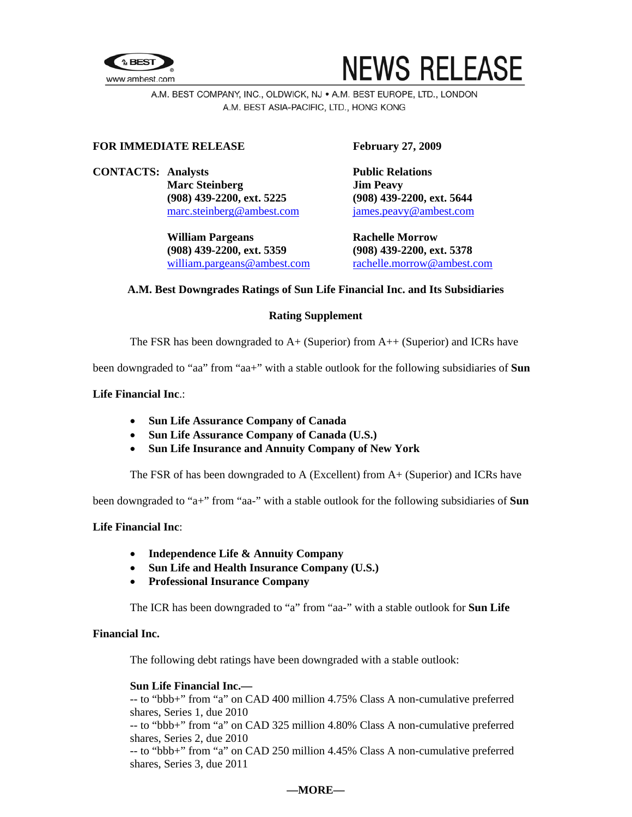



A.M. BEST COMPANY, INC., OLDWICK, NJ . A.M. BEST EUROPE, LTD., LONDON A.M. BEST ASIA-PACIFIC, LTD., HONG KONG

# **FOR IMMEDIATE RELEASE February 27, 2009**

**CONTACTS:** Analysts **Public Relations Marc Steinberg Jim Peavy (908) 439-2200, ext. 5225 (908) 439-2200, ext. 5644**  [marc.steinberg@ambest.com](mailto:marc.steinberg@ambest.com)[james.peavy@ambest.com](mailto:james.peavy@ambest.com)

> William Pargeans **Rachelle Morrow (908) 439-2200, ext. 5359 (908) 439-2200, ext. 5378**  [william.pargeans@ambest.com](mailto:william.pargeans@ambest.com) [rachelle.morrow@ambest.com](mailto:rachelle.morrow@ambest.com)

# **A.M. Best Downgrades Ratings of Sun Life Financial Inc. and Its Subsidiaries**

## **Rating Supplement**

The FSR has been downgraded to A+ (Superior) from A++ (Superior) and ICRs have

been downgraded to "aa" from "aa+" with a stable outlook for the following subsidiaries of **Sun** 

# **Life Financial Inc**.:

- **Sun Life Assurance Company of Canada**
- **Sun Life Assurance Company of Canada (U.S.)**
- **Sun Life Insurance and Annuity Company of New York**

The FSR of has been downgraded to A (Excellent) from A+ (Superior) and ICRs have

been downgraded to "a+" from "aa-" with a stable outlook for the following subsidiaries of **Sun** 

## **Life Financial Inc**:

- **Independence Life & Annuity Company**
- **Sun Life and Health Insurance Company (U.S.)**
- **Professional Insurance Company**

The ICR has been downgraded to "a" from "aa-" with a stable outlook for **Sun Life** 

# **Financial Inc.**

The following debt ratings have been downgraded with a stable outlook:

## **Sun Life Financial Inc.—**

-- to "bbb+" from "a" on CAD 400 million 4.75% Class A non-cumulative preferred shares, Series 1, due 2010

-- to "bbb+" from "a" on CAD 325 million 4.80% Class A non-cumulative preferred shares, Series 2, due 2010

-- to "bbb+" from "a" on CAD 250 million 4.45% Class A non-cumulative preferred shares, Series 3, due 2011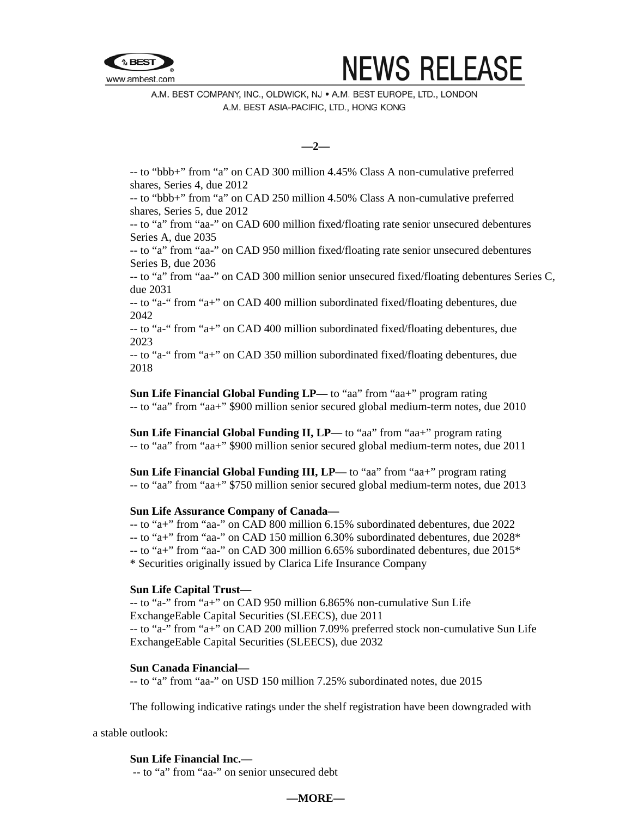



A.M. BEST COMPANY, INC., OLDWICK, NJ . A.M. BEST EUROPE, LTD., LONDON A.M. BEST ASIA-PACIFIC, LTD., HONG KONG

**—2—** 

-- to "bbb+" from "a" on CAD 300 million 4.45% Class A non-cumulative preferred shares, Series 4, due 2012

-- to "bbb+" from "a" on CAD 250 million 4.50% Class A non-cumulative preferred shares, Series 5, due 2012

-- to "a" from "aa-" on CAD 600 million fixed/floating rate senior unsecured debentures Series A, due 2035

-- to "a" from "aa-" on CAD 950 million fixed/floating rate senior unsecured debentures Series B, due 2036

-- to "a" from "aa-" on CAD 300 million senior unsecured fixed/floating debentures Series C, due 2031

-- to "a-" from "a+" on CAD 400 million subordinated fixed/floating debentures, due 2042

-- to "a-" from "a+" on CAD 400 million subordinated fixed/floating debentures, due 2023

-- to "a-" from "a+" on CAD 350 million subordinated fixed/floating debentures, due 2018

**Sun Life Financial Global Funding LP—** to "aa" from "aa+" program rating -- to "aa" from "aa+" \$900 million senior secured global medium-term notes, due 2010

**Sun Life Financial Global Funding II, LP—** to "aa" from "aa+" program rating -- to "aa" from "aa+" \$900 million senior secured global medium-term notes, due 2011

**Sun Life Financial Global Funding III, LP—** to "aa" from "aa+" program rating -- to "aa" from "aa+" \$750 million senior secured global medium-term notes, due 2013

## **Sun Life Assurance Company of Canada—**

-- to "a+" from "aa-" on CAD 800 million 6.15% subordinated debentures, due 2022  $-$ - to "a+" from "aa-" on CAD 150 million 6.30% subordinated debentures, due 2028<sup>\*</sup> -- to "a+" from "aa-" on CAD 300 million 6.65% subordinated debentures, due 2015\* \* Securities originally issued by Clarica Life Insurance Company

## **Sun Life Capital Trust—**

-- to "a-" from "a+" on CAD 950 million 6.865% non-cumulative Sun Life ExchangeEable Capital Securities (SLEECS), due 2011 -- to "a-" from "a+" on CAD 200 million 7.09% preferred stock non-cumulative Sun Life ExchangeEable Capital Securities (SLEECS), due 2032

## **Sun Canada Financial—**

-- to "a" from "aa-" on USD 150 million 7.25% subordinated notes, due 2015

The following indicative ratings under the shelf registration have been downgraded with

a stable outlook:

## **Sun Life Financial Inc.—**

-- to "a" from "aa-" on senior unsecured debt